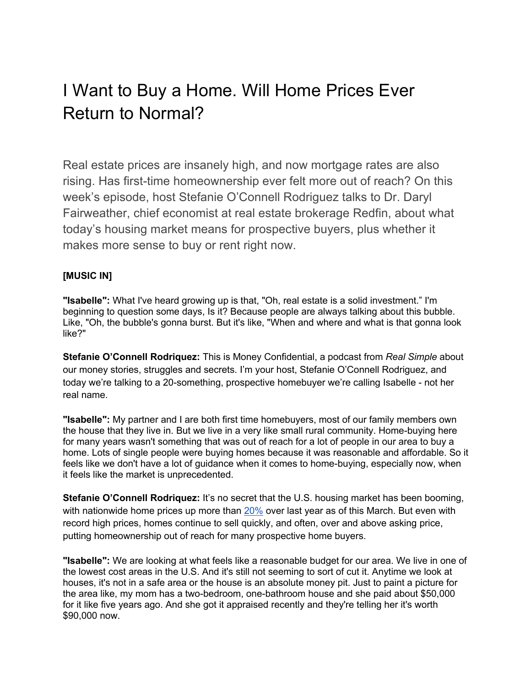# I Want to Buy a Home. Will Home Prices Ever Return to Normal?

Real estate prices are insanely high, and now mortgage rates are also rising. Has first-time homeownership ever felt more out of reach? On this week's episode, host Stefanie O'Connell Rodriguez talks to Dr. Daryl Fairweather, chief economist at real estate brokerage Redfin, about what today's housing market means for prospective buyers, plus whether it makes more sense to buy or rent right now.

# **[MUSIC IN]**

**"Isabelle":** What I've heard growing up is that, "Oh, real estate is a solid investment." I'm beginning to question some days, Is it? Because people are always talking about this bubble. Like, "Oh, the bubble's gonna burst. But it's like, "When and where and what is that gonna look like?"

**Stefanie O'Connell Rodriquez:** This is Money Confidential, a podcast from *Real Simple* about our money stories, struggles and secrets. I'm your host, Stefanie O'Connell Rodriguez, and today we're talking to a 20-something, prospective homebuyer we're calling Isabelle - not her real name.

**"Isabelle":** My partner and I are both first time homebuyers, most of our family members own the house that they live in. But we live in a very like small rural community. Home-buying here for many years wasn't something that was out of reach for a lot of people in our area to buy a home. Lots of single people were buying homes because it was reasonable and affordable. So it feels like we don't have a lot of guidance when it comes to home-buying, especially now, when it feels like the market is unprecedented.

**Stefanie O'Connell Rodriquez:** It's no secret that the U.S. housing market has been booming, with nationwide home prices up more than 20% over last year as of this March. But even with record high prices, homes continue to sell quickly, and often, over and above asking price, putting homeownership out of reach for many prospective home buyers.

**"Isabelle":** We are looking at what feels like a reasonable budget for our area. We live in one of the lowest cost areas in the U.S. And it's still not seeming to sort of cut it. Anytime we look at houses, it's not in a safe area or the house is an absolute money pit. Just to paint a picture for the area like, my mom has a two-bedroom, one-bathroom house and she paid about \$50,000 for it like five years ago. And she got it appraised recently and they're telling her it's worth \$90,000 now.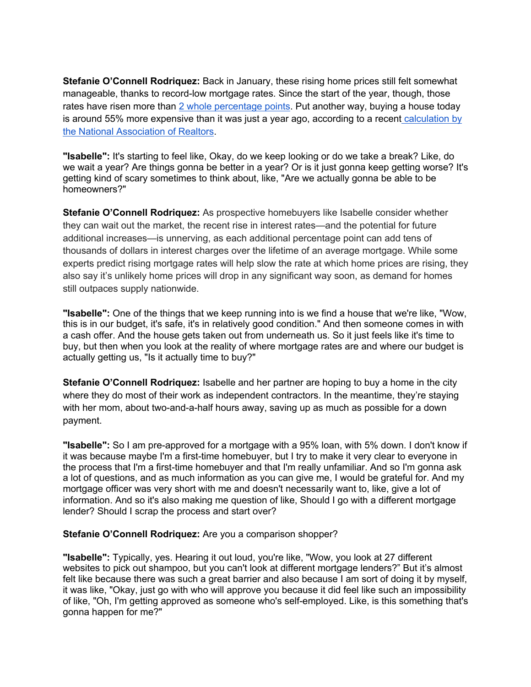**Stefanie O'Connell Rodriquez:** Back in January, these rising home prices still felt somewhat manageable, thanks to record-low mortgage rates. Since the start of the year, though, those rates have risen more than 2 whole percentage points. Put another way, buying a house today is around 55% more expensive than it was just a year ago, according to a recent calculation by the National Association of Realtors.

**"Isabelle":** It's starting to feel like, Okay, do we keep looking or do we take a break? Like, do we wait a year? Are things gonna be better in a year? Or is it just gonna keep getting worse? It's getting kind of scary sometimes to think about, like, "Are we actually gonna be able to be homeowners?"

**Stefanie O'Connell Rodriquez:** As prospective homebuyers like Isabelle consider whether they can wait out the market, the recent rise in interest rates—and the potential for future additional increases—is unnerving, as each additional percentage point can add tens of thousands of dollars in interest charges over the lifetime of an average mortgage. While some experts predict rising mortgage rates will help slow the rate at which home prices are rising, they also say it's unlikely home prices will drop in any significant way soon, as demand for homes still outpaces supply nationwide.

**"Isabelle":** One of the things that we keep running into is we find a house that we're like, "Wow, this is in our budget, it's safe, it's in relatively good condition." And then someone comes in with a cash offer. And the house gets taken out from underneath us. So it just feels like it's time to buy, but then when you look at the reality of where mortgage rates are and where our budget is actually getting us, "Is it actually time to buy?"

**Stefanie O'Connell Rodriquez:** Isabelle and her partner are hoping to buy a home in the city where they do most of their work as independent contractors. In the meantime, they're staying with her mom, about two-and-a-half hours away, saving up as much as possible for a down payment.

**"Isabelle":** So I am pre-approved for a mortgage with a 95% loan, with 5% down. I don't know if it was because maybe I'm a first-time homebuyer, but I try to make it very clear to everyone in the process that I'm a first-time homebuyer and that I'm really unfamiliar. And so I'm gonna ask a lot of questions, and as much information as you can give me, I would be grateful for. And my mortgage officer was very short with me and doesn't necessarily want to, like, give a lot of information. And so it's also making me question of like, Should I go with a different mortgage lender? Should I scrap the process and start over?

#### **Stefanie O'Connell Rodriquez:** Are you a comparison shopper?

**"Isabelle":** Typically, yes. Hearing it out loud, you're like, "Wow, you look at 27 different websites to pick out shampoo, but you can't look at different mortgage lenders?" But it's almost felt like because there was such a great barrier and also because I am sort of doing it by myself, it was like, "Okay, just go with who will approve you because it did feel like such an impossibility of like, "Oh, I'm getting approved as someone who's self-employed. Like, is this something that's gonna happen for me?"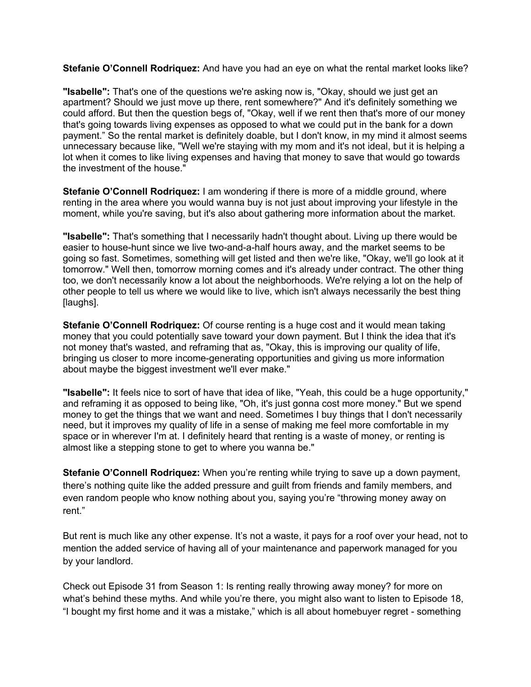**Stefanie O'Connell Rodriquez:** And have you had an eye on what the rental market looks like?

**"Isabelle":** That's one of the questions we're asking now is, "Okay, should we just get an apartment? Should we just move up there, rent somewhere?" And it's definitely something we could afford. But then the question begs of, "Okay, well if we rent then that's more of our money that's going towards living expenses as opposed to what we could put in the bank for a down payment." So the rental market is definitely doable, but I don't know, in my mind it almost seems unnecessary because like, "Well we're staying with my mom and it's not ideal, but it is helping a lot when it comes to like living expenses and having that money to save that would go towards the investment of the house."

**Stefanie O'Connell Rodriquez:** I am wondering if there is more of a middle ground, where renting in the area where you would wanna buy is not just about improving your lifestyle in the moment, while you're saving, but it's also about gathering more information about the market.

**"Isabelle":** That's something that I necessarily hadn't thought about. Living up there would be easier to house-hunt since we live two-and-a-half hours away, and the market seems to be going so fast. Sometimes, something will get listed and then we're like, "Okay, we'll go look at it tomorrow." Well then, tomorrow morning comes and it's already under contract. The other thing too, we don't necessarily know a lot about the neighborhoods. We're relying a lot on the help of other people to tell us where we would like to live, which isn't always necessarily the best thing [laughs].

**Stefanie O'Connell Rodriquez:** Of course renting is a huge cost and it would mean taking money that you could potentially save toward your down payment. But I think the idea that it's not money that's wasted, and reframing that as, "Okay, this is improving our quality of life, bringing us closer to more income-generating opportunities and giving us more information about maybe the biggest investment we'll ever make."

**"Isabelle":** It feels nice to sort of have that idea of like, "Yeah, this could be a huge opportunity," and reframing it as opposed to being like, "Oh, it's just gonna cost more money." But we spend money to get the things that we want and need. Sometimes I buy things that I don't necessarily need, but it improves my quality of life in a sense of making me feel more comfortable in my space or in wherever I'm at. I definitely heard that renting is a waste of money, or renting is almost like a stepping stone to get to where you wanna be."

**Stefanie O'Connell Rodriquez:** When you're renting while trying to save up a down payment, there's nothing quite like the added pressure and guilt from friends and family members, and even random people who know nothing about you, saying you're "throwing money away on rent."

But rent is much like any other expense. It's not a waste, it pays for a roof over your head, not to mention the added service of having all of your maintenance and paperwork managed for you by your landlord.

Check out Episode 31 from Season 1: Is renting really throwing away money? for more on what's behind these myths. And while you're there, you might also want to listen to Episode 18, "I bought my first home and it was a mistake," which is all about homebuyer regret - something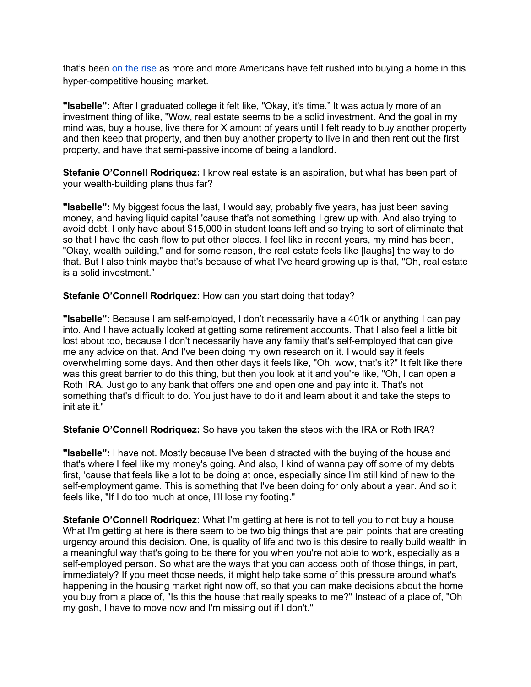that's been on the rise as more and more Americans have felt rushed into buying a home in this hyper-competitive housing market.

**"Isabelle":** After I graduated college it felt like, "Okay, it's time." It was actually more of an investment thing of like, "Wow, real estate seems to be a solid investment. And the goal in my mind was, buy a house, live there for X amount of years until I felt ready to buy another property and then keep that property, and then buy another property to live in and then rent out the first property, and have that semi-passive income of being a landlord.

**Stefanie O'Connell Rodriquez:** I know real estate is an aspiration, but what has been part of your wealth-building plans thus far?

**"Isabelle":** My biggest focus the last, I would say, probably five years, has just been saving money, and having liquid capital 'cause that's not something I grew up with. And also trying to avoid debt. I only have about \$15,000 in student loans left and so trying to sort of eliminate that so that I have the cash flow to put other places. I feel like in recent years, my mind has been, "Okay, wealth building," and for some reason, the real estate feels like [laughs] the way to do that. But I also think maybe that's because of what I've heard growing up is that, "Oh, real estate is a solid investment."

**Stefanie O'Connell Rodriquez:** How can you start doing that today?

**"Isabelle":** Because I am self-employed, I don't necessarily have a 401k or anything I can pay into. And I have actually looked at getting some retirement accounts. That I also feel a little bit lost about too, because I don't necessarily have any family that's self-employed that can give me any advice on that. And I've been doing my own research on it. I would say it feels overwhelming some days. And then other days it feels like, "Oh, wow, that's it?" It felt like there was this great barrier to do this thing, but then you look at it and you're like, "Oh, I can open a Roth IRA. Just go to any bank that offers one and open one and pay into it. That's not something that's difficult to do. You just have to do it and learn about it and take the steps to initiate it."

**Stefanie O'Connell Rodriquez:** So have you taken the steps with the IRA or Roth IRA?

**"Isabelle":** I have not. Mostly because I've been distracted with the buying of the house and that's where I feel like my money's going. And also, I kind of wanna pay off some of my debts first, 'cause that feels like a lot to be doing at once, especially since I'm still kind of new to the self-employment game. This is something that I've been doing for only about a year. And so it feels like, "If I do too much at once, I'll lose my footing."

**Stefanie O'Connell Rodriquez:** What I'm getting at here is not to tell you to not buy a house. What I'm getting at here is there seem to be two big things that are pain points that are creating urgency around this decision. One, is quality of life and two is this desire to really build wealth in a meaningful way that's going to be there for you when you're not able to work, especially as a self-employed person. So what are the ways that you can access both of those things, in part, immediately? If you meet those needs, it might help take some of this pressure around what's happening in the housing market right now off, so that you can make decisions about the home you buy from a place of, "Is this the house that really speaks to me?" Instead of a place of, "Oh my gosh, I have to move now and I'm missing out if I don't."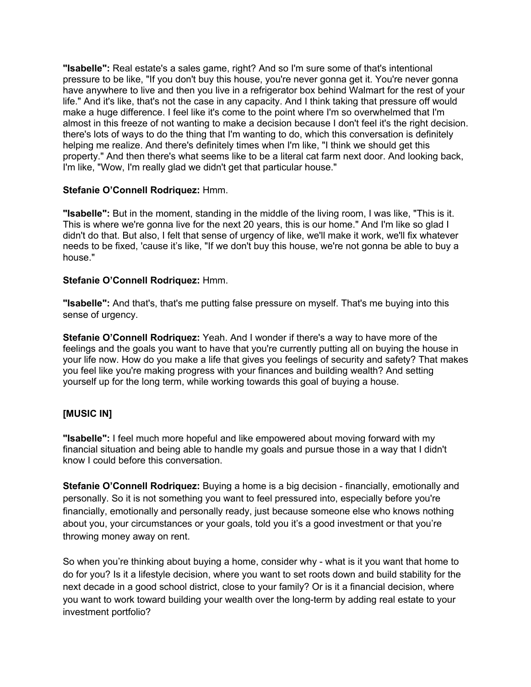**"Isabelle":** Real estate's a sales game, right? And so I'm sure some of that's intentional pressure to be like, "If you don't buy this house, you're never gonna get it. You're never gonna have anywhere to live and then you live in a refrigerator box behind Walmart for the rest of your life." And it's like, that's not the case in any capacity. And I think taking that pressure off would make a huge difference. I feel like it's come to the point where I'm so overwhelmed that I'm almost in this freeze of not wanting to make a decision because I don't feel it's the right decision. there's lots of ways to do the thing that I'm wanting to do, which this conversation is definitely helping me realize. And there's definitely times when I'm like, "I think we should get this property." And then there's what seems like to be a literal cat farm next door. And looking back, I'm like, "Wow, I'm really glad we didn't get that particular house."

#### **Stefanie O'Connell Rodriquez:** Hmm.

**"Isabelle":** But in the moment, standing in the middle of the living room, I was like, "This is it. This is where we're gonna live for the next 20 years, this is our home." And I'm like so glad I didn't do that. But also, I felt that sense of urgency of like, we'll make it work, we'll fix whatever needs to be fixed, 'cause it's like, "If we don't buy this house, we're not gonna be able to buy a house."

#### **Stefanie O'Connell Rodriquez:** Hmm.

**"Isabelle":** And that's, that's me putting false pressure on myself. That's me buying into this sense of urgency.

**Stefanie O'Connell Rodriquez:** Yeah. And I wonder if there's a way to have more of the feelings and the goals you want to have that you're currently putting all on buying the house in your life now. How do you make a life that gives you feelings of security and safety? That makes you feel like you're making progress with your finances and building wealth? And setting yourself up for the long term, while working towards this goal of buying a house.

## **[MUSIC IN]**

**"Isabelle":** I feel much more hopeful and like empowered about moving forward with my financial situation and being able to handle my goals and pursue those in a way that I didn't know I could before this conversation.

**Stefanie O'Connell Rodriquez:** Buying a home is a big decision - financially, emotionally and personally. So it is not something you want to feel pressured into, especially before you're financially, emotionally and personally ready, just because someone else who knows nothing about you, your circumstances or your goals, told you it's a good investment or that you're throwing money away on rent.

So when you're thinking about buying a home, consider why - what is it you want that home to do for you? Is it a lifestyle decision, where you want to set roots down and build stability for the next decade in a good school district, close to your family? Or is it a financial decision, where you want to work toward building your wealth over the long-term by adding real estate to your investment portfolio?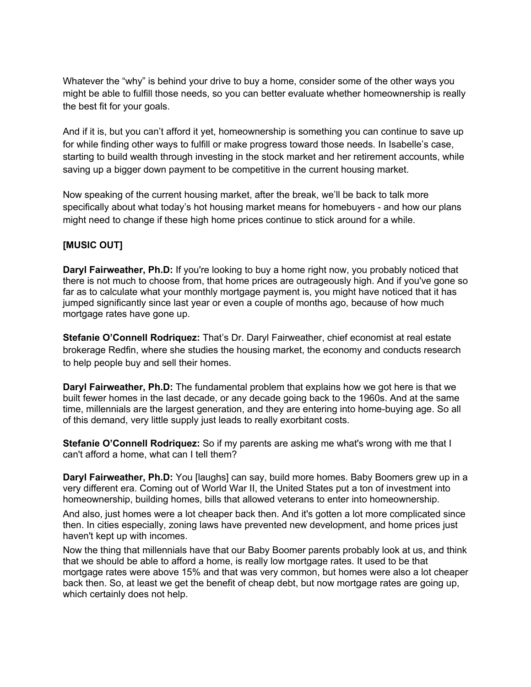Whatever the "why" is behind your drive to buy a home, consider some of the other ways you might be able to fulfill those needs, so you can better evaluate whether homeownership is really the best fit for your goals.

And if it is, but you can't afford it yet, homeownership is something you can continue to save up for while finding other ways to fulfill or make progress toward those needs. In Isabelle's case, starting to build wealth through investing in the stock market and her retirement accounts, while saving up a bigger down payment to be competitive in the current housing market.

Now speaking of the current housing market, after the break, we'll be back to talk more specifically about what today's hot housing market means for homebuyers - and how our plans might need to change if these high home prices continue to stick around for a while.

## **[MUSIC OUT]**

**Daryl Fairweather, Ph.D:** If you're looking to buy a home right now, you probably noticed that there is not much to choose from, that home prices are outrageously high. And if you've gone so far as to calculate what your monthly mortgage payment is, you might have noticed that it has jumped significantly since last year or even a couple of months ago, because of how much mortgage rates have gone up.

**Stefanie O'Connell Rodriquez:** That's Dr. Daryl Fairweather, chief economist at real estate brokerage Redfin, where she studies the housing market, the economy and conducts research to help people buy and sell their homes.

**Daryl Fairweather, Ph.D:** The fundamental problem that explains how we got here is that we built fewer homes in the last decade, or any decade going back to the 1960s. And at the same time, millennials are the largest generation, and they are entering into home-buying age. So all of this demand, very little supply just leads to really exorbitant costs.

**Stefanie O'Connell Rodriquez:** So if my parents are asking me what's wrong with me that I can't afford a home, what can I tell them?

**Daryl Fairweather, Ph.D:** You [laughs] can say, build more homes. Baby Boomers grew up in a very different era. Coming out of World War II, the United States put a ton of investment into homeownership, building homes, bills that allowed veterans to enter into homeownership.

And also, just homes were a lot cheaper back then. And it's gotten a lot more complicated since then. In cities especially, zoning laws have prevented new development, and home prices just haven't kept up with incomes.

Now the thing that millennials have that our Baby Boomer parents probably look at us, and think that we should be able to afford a home, is really low mortgage rates. It used to be that mortgage rates were above 15% and that was very common, but homes were also a lot cheaper back then. So, at least we get the benefit of cheap debt, but now mortgage rates are going up, which certainly does not help.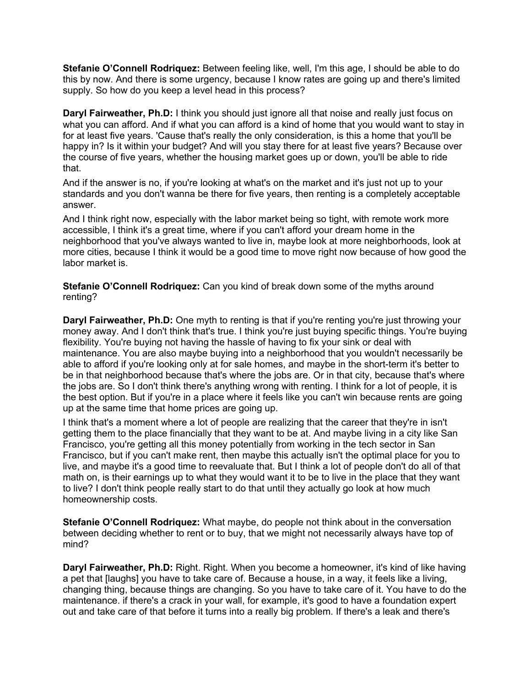**Stefanie O'Connell Rodriquez:** Between feeling like, well, I'm this age, I should be able to do this by now. And there is some urgency, because I know rates are going up and there's limited supply. So how do you keep a level head in this process?

**Daryl Fairweather, Ph.D:** I think you should just ignore all that noise and really just focus on what you can afford. And if what you can afford is a kind of home that you would want to stay in for at least five years. 'Cause that's really the only consideration, is this a home that you'll be happy in? Is it within your budget? And will you stay there for at least five years? Because over the course of five years, whether the housing market goes up or down, you'll be able to ride that.

And if the answer is no, if you're looking at what's on the market and it's just not up to your standards and you don't wanna be there for five years, then renting is a completely acceptable answer.

And I think right now, especially with the labor market being so tight, with remote work more accessible, I think it's a great time, where if you can't afford your dream home in the neighborhood that you've always wanted to live in, maybe look at more neighborhoods, look at more cities, because I think it would be a good time to move right now because of how good the labor market is.

**Stefanie O'Connell Rodriquez:** Can you kind of break down some of the myths around renting?

**Daryl Fairweather, Ph.D:** One myth to renting is that if you're renting you're just throwing your money away. And I don't think that's true. I think you're just buying specific things. You're buying flexibility. You're buying not having the hassle of having to fix your sink or deal with maintenance. You are also maybe buying into a neighborhood that you wouldn't necessarily be able to afford if you're looking only at for sale homes, and maybe in the short-term it's better to be in that neighborhood because that's where the jobs are. Or in that city, because that's where the jobs are. So I don't think there's anything wrong with renting. I think for a lot of people, it is the best option. But if you're in a place where it feels like you can't win because rents are going up at the same time that home prices are going up.

I think that's a moment where a lot of people are realizing that the career that they're in isn't getting them to the place financially that they want to be at. And maybe living in a city like San Francisco, you're getting all this money potentially from working in the tech sector in San Francisco, but if you can't make rent, then maybe this actually isn't the optimal place for you to live, and maybe it's a good time to reevaluate that. But I think a lot of people don't do all of that math on, is their earnings up to what they would want it to be to live in the place that they want to live? I don't think people really start to do that until they actually go look at how much homeownership costs.

**Stefanie O'Connell Rodriquez:** What maybe, do people not think about in the conversation between deciding whether to rent or to buy, that we might not necessarily always have top of mind?

**Daryl Fairweather, Ph.D:** Right. Right. When you become a homeowner, it's kind of like having a pet that [laughs] you have to take care of. Because a house, in a way, it feels like a living, changing thing, because things are changing. So you have to take care of it. You have to do the maintenance. if there's a crack in your wall, for example, it's good to have a foundation expert out and take care of that before it turns into a really big problem. If there's a leak and there's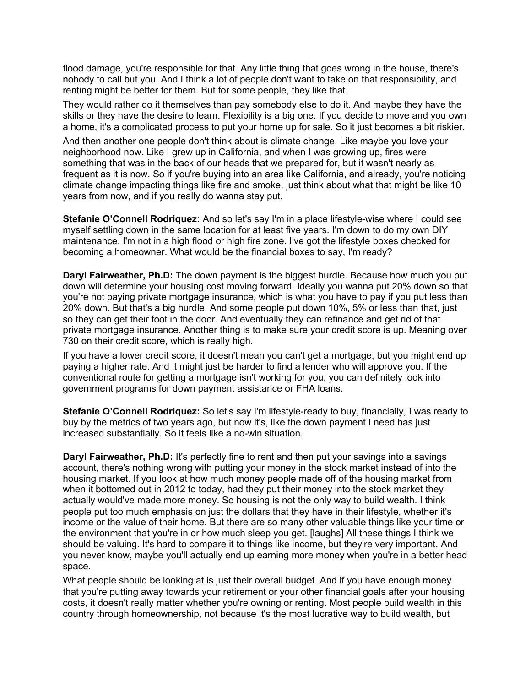flood damage, you're responsible for that. Any little thing that goes wrong in the house, there's nobody to call but you. And I think a lot of people don't want to take on that responsibility, and renting might be better for them. But for some people, they like that.

They would rather do it themselves than pay somebody else to do it. And maybe they have the skills or they have the desire to learn. Flexibility is a big one. If you decide to move and you own a home, it's a complicated process to put your home up for sale. So it just becomes a bit riskier.

And then another one people don't think about is climate change. Like maybe you love your neighborhood now. Like I grew up in California, and when I was growing up, fires were something that was in the back of our heads that we prepared for, but it wasn't nearly as frequent as it is now. So if you're buying into an area like California, and already, you're noticing climate change impacting things like fire and smoke, just think about what that might be like 10 years from now, and if you really do wanna stay put.

**Stefanie O'Connell Rodriquez:** And so let's say I'm in a place lifestyle-wise where I could see myself settling down in the same location for at least five years. I'm down to do my own DIY maintenance. I'm not in a high flood or high fire zone. I've got the lifestyle boxes checked for becoming a homeowner. What would be the financial boxes to say, I'm ready?

**Daryl Fairweather, Ph.D:** The down payment is the biggest hurdle. Because how much you put down will determine your housing cost moving forward. Ideally you wanna put 20% down so that you're not paying private mortgage insurance, which is what you have to pay if you put less than 20% down. But that's a big hurdle. And some people put down 10%, 5% or less than that, just so they can get their foot in the door. And eventually they can refinance and get rid of that private mortgage insurance. Another thing is to make sure your credit score is up. Meaning over 730 on their credit score, which is really high.

If you have a lower credit score, it doesn't mean you can't get a mortgage, but you might end up paying a higher rate. And it might just be harder to find a lender who will approve you. If the conventional route for getting a mortgage isn't working for you, you can definitely look into government programs for down payment assistance or FHA loans.

**Stefanie O'Connell Rodriquez:** So let's say I'm lifestyle-ready to buy, financially, I was ready to buy by the metrics of two years ago, but now it's, like the down payment I need has just increased substantially. So it feels like a no-win situation.

**Daryl Fairweather, Ph.D:** It's perfectly fine to rent and then put your savings into a savings account, there's nothing wrong with putting your money in the stock market instead of into the housing market. If you look at how much money people made off of the housing market from when it bottomed out in 2012 to today, had they put their money into the stock market they actually would've made more money. So housing is not the only way to build wealth. I think people put too much emphasis on just the dollars that they have in their lifestyle, whether it's income or the value of their home. But there are so many other valuable things like your time or the environment that you're in or how much sleep you get. [laughs] All these things I think we should be valuing. It's hard to compare it to things like income, but they're very important. And you never know, maybe you'll actually end up earning more money when you're in a better head space.

What people should be looking at is just their overall budget. And if you have enough money that you're putting away towards your retirement or your other financial goals after your housing costs, it doesn't really matter whether you're owning or renting. Most people build wealth in this country through homeownership, not because it's the most lucrative way to build wealth, but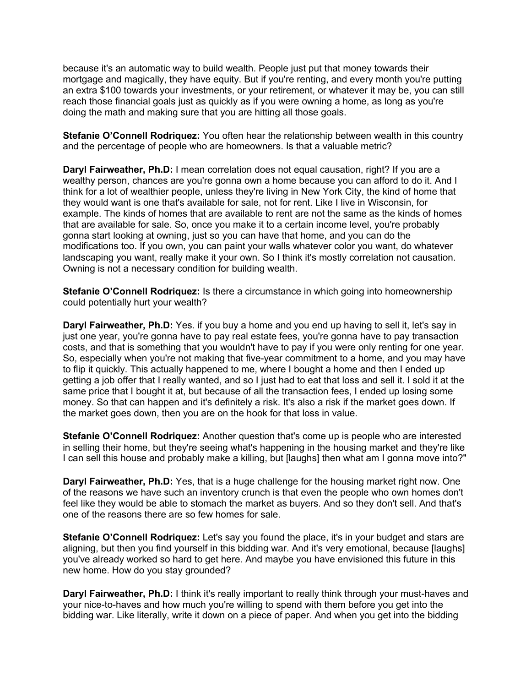because it's an automatic way to build wealth. People just put that money towards their mortgage and magically, they have equity. But if you're renting, and every month you're putting an extra \$100 towards your investments, or your retirement, or whatever it may be, you can still reach those financial goals just as quickly as if you were owning a home, as long as you're doing the math and making sure that you are hitting all those goals.

**Stefanie O'Connell Rodriquez:** You often hear the relationship between wealth in this country and the percentage of people who are homeowners. Is that a valuable metric?

**Daryl Fairweather, Ph.D:** I mean correlation does not equal causation, right? If you are a wealthy person, chances are you're gonna own a home because you can afford to do it. And I think for a lot of wealthier people, unless they're living in New York City, the kind of home that they would want is one that's available for sale, not for rent. Like I live in Wisconsin, for example. The kinds of homes that are available to rent are not the same as the kinds of homes that are available for sale. So, once you make it to a certain income level, you're probably gonna start looking at owning, just so you can have that home, and you can do the modifications too. If you own, you can paint your walls whatever color you want, do whatever landscaping you want, really make it your own. So I think it's mostly correlation not causation. Owning is not a necessary condition for building wealth.

**Stefanie O'Connell Rodriquez:** Is there a circumstance in which going into homeownership could potentially hurt your wealth?

**Daryl Fairweather, Ph.D:** Yes. if you buy a home and you end up having to sell it, let's say in just one year, you're gonna have to pay real estate fees, you're gonna have to pay transaction costs, and that is something that you wouldn't have to pay if you were only renting for one year. So, especially when you're not making that five-year commitment to a home, and you may have to flip it quickly. This actually happened to me, where I bought a home and then I ended up getting a job offer that I really wanted, and so I just had to eat that loss and sell it. I sold it at the same price that I bought it at, but because of all the transaction fees, I ended up losing some money. So that can happen and it's definitely a risk. It's also a risk if the market goes down. If the market goes down, then you are on the hook for that loss in value.

**Stefanie O'Connell Rodriquez:** Another question that's come up is people who are interested in selling their home, but they're seeing what's happening in the housing market and they're like I can sell this house and probably make a killing, but [laughs] then what am I gonna move into?"

**Daryl Fairweather, Ph.D:** Yes, that is a huge challenge for the housing market right now. One of the reasons we have such an inventory crunch is that even the people who own homes don't feel like they would be able to stomach the market as buyers. And so they don't sell. And that's one of the reasons there are so few homes for sale.

**Stefanie O'Connell Rodriquez:** Let's say you found the place, it's in your budget and stars are aligning, but then you find yourself in this bidding war. And it's very emotional, because [laughs] you've already worked so hard to get here. And maybe you have envisioned this future in this new home. How do you stay grounded?

**Daryl Fairweather, Ph.D:** I think it's really important to really think through your must-haves and your nice-to-haves and how much you're willing to spend with them before you get into the bidding war. Like literally, write it down on a piece of paper. And when you get into the bidding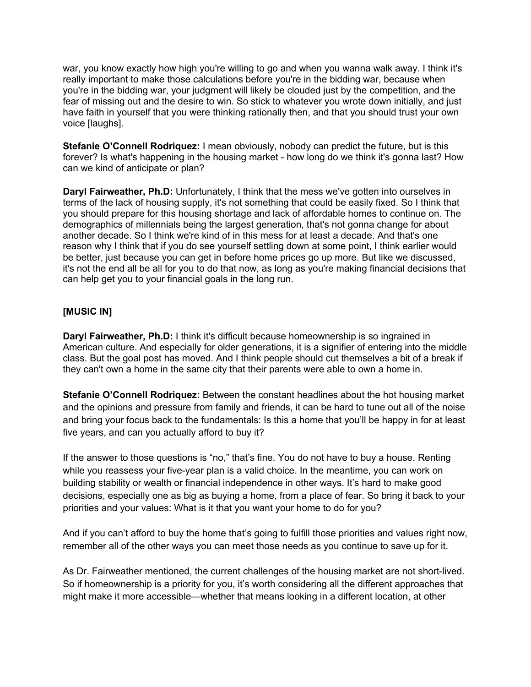war, you know exactly how high you're willing to go and when you wanna walk away. I think it's really important to make those calculations before you're in the bidding war, because when you're in the bidding war, your judgment will likely be clouded just by the competition, and the fear of missing out and the desire to win. So stick to whatever you wrote down initially, and just have faith in yourself that you were thinking rationally then, and that you should trust your own voice [laughs].

**Stefanie O'Connell Rodriquez:** I mean obviously, nobody can predict the future, but is this forever? Is what's happening in the housing market - how long do we think it's gonna last? How can we kind of anticipate or plan?

**Daryl Fairweather, Ph.D:** Unfortunately, I think that the mess we've gotten into ourselves in terms of the lack of housing supply, it's not something that could be easily fixed. So I think that you should prepare for this housing shortage and lack of affordable homes to continue on. The demographics of millennials being the largest generation, that's not gonna change for about another decade. So I think we're kind of in this mess for at least a decade. And that's one reason why I think that if you do see yourself settling down at some point, I think earlier would be better, just because you can get in before home prices go up more. But like we discussed, it's not the end all be all for you to do that now, as long as you're making financial decisions that can help get you to your financial goals in the long run.

#### **[MUSIC IN]**

**Daryl Fairweather, Ph.D:** I think it's difficult because homeownership is so ingrained in American culture. And especially for older generations, it is a signifier of entering into the middle class. But the goal post has moved. And I think people should cut themselves a bit of a break if they can't own a home in the same city that their parents were able to own a home in.

**Stefanie O'Connell Rodriquez:** Between the constant headlines about the hot housing market and the opinions and pressure from family and friends, it can be hard to tune out all of the noise and bring your focus back to the fundamentals: Is this a home that you'll be happy in for at least five years, and can you actually afford to buy it?

If the answer to those questions is "no," that's fine. You do not have to buy a house. Renting while you reassess your five-year plan is a valid choice. In the meantime, you can work on building stability or wealth or financial independence in other ways. It's hard to make good decisions, especially one as big as buying a home, from a place of fear. So bring it back to your priorities and your values: What is it that you want your home to do for you?

And if you can't afford to buy the home that's going to fulfill those priorities and values right now, remember all of the other ways you can meet those needs as you continue to save up for it.

As Dr. Fairweather mentioned, the current challenges of the housing market are not short-lived. So if homeownership is a priority for you, it's worth considering all the different approaches that might make it more accessible—whether that means looking in a different location, at other